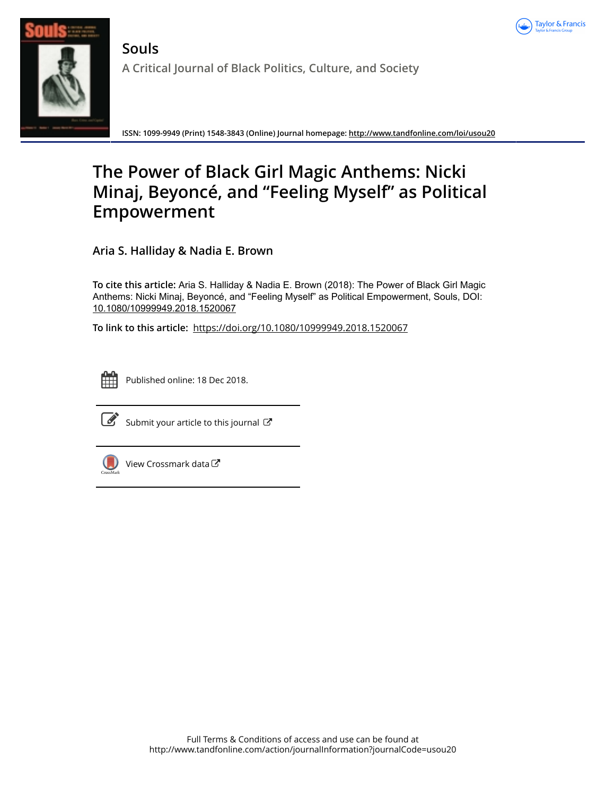



**Souls A Critical Journal of Black Politics, Culture, and Society**

**ISSN: 1099-9949 (Print) 1548-3843 (Online) Journal homepage:<http://www.tandfonline.com/loi/usou20>**

## **The Power of Black Girl Magic Anthems: Nicki Minaj, Beyoncé, and "Feeling Myself" as Political Empowerment**

**Aria S. Halliday & Nadia E. Brown**

**To cite this article:** Aria S. Halliday & Nadia E. Brown (2018): The Power of Black Girl Magic Anthems: Nicki Minaj, Beyoncé, and "Feeling Myself" as Political Empowerment, Souls, DOI: [10.1080/10999949.2018.1520067](http://www.tandfonline.com/action/showCitFormats?doi=10.1080/10999949.2018.1520067)

**To link to this article:** <https://doi.org/10.1080/10999949.2018.1520067>



Published online: 18 Dec 2018.



 $\overline{\mathscr{L}}$  [Submit your article to this journal](http://www.tandfonline.com/action/authorSubmission?journalCode=usou20&show=instructions)  $\mathbb{C}$ 



 $\bigcirc$  [View Crossmark data](http://crossmark.crossref.org/dialog/?doi=10.1080/10999949.2018.1520067&domain=pdf&date_stamp=2018-12-18) $\mathbb{Z}$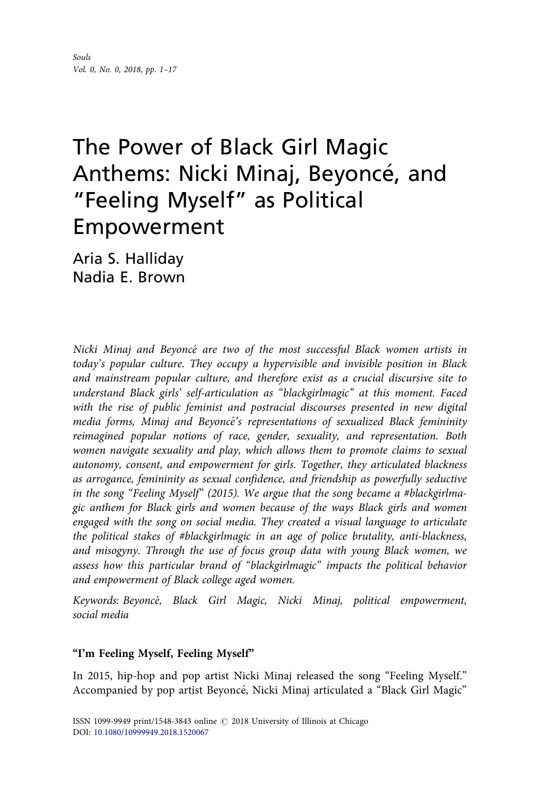# The Power of Black Girl Magic Anthems: Nicki Minaj, Beyoncé, and "Feeling Myself" as Political Empowerment

Aria S. Halliday Nadia E. Brown

Nicki Minaj and Beyonce are two of the most successful Black women artists in today's popular culture. They occupy a hypervisible and invisible position in Black and mainstream popular culture, and therefore exist as a crucial discursive site to understand Black girls' self-articulation as "blackgirlmagic" at this moment. Faced with the rise of public feminist and postracial discourses presented in new digital media forms, Minaj and Beyoncé's representations of sexualized Black femininity reimagined popular notions of race, gender, sexuality, and representation. Both women navigate sexuality and play, which allows them to promote claims to sexual autonomy, consent, and empowerment for girls. Together, they articulated blackness as arrogance, femininity as sexual confidence, and friendship as powerfully seductive in the song "Feeling Myself" (2015). We argue that the song became a #blackgirlmagic anthem for Black girls and women because of the ways Black girls and women engaged with the song on social media. They created a visual language to articulate the political stakes of #blackgirlmagic in an age of police brutality, anti-blackness, and misogyny. Through the use of focus group data with young Black women, we assess how this particular brand of "blackgirlmagic" impacts the political behavior and empowerment of Black college aged women.

Keywords: Beyonce, Black Girl Magic, Nicki Minaj, political empowerment, social media

## "I'm Feeling Myself, Feeling Myself"

In 2015, hip-hop and pop artist Nicki Minaj released the song "Feeling Myself." Accompanied by pop artist Beyonce, Nicki Minaj articulated a "Black Girl Magic"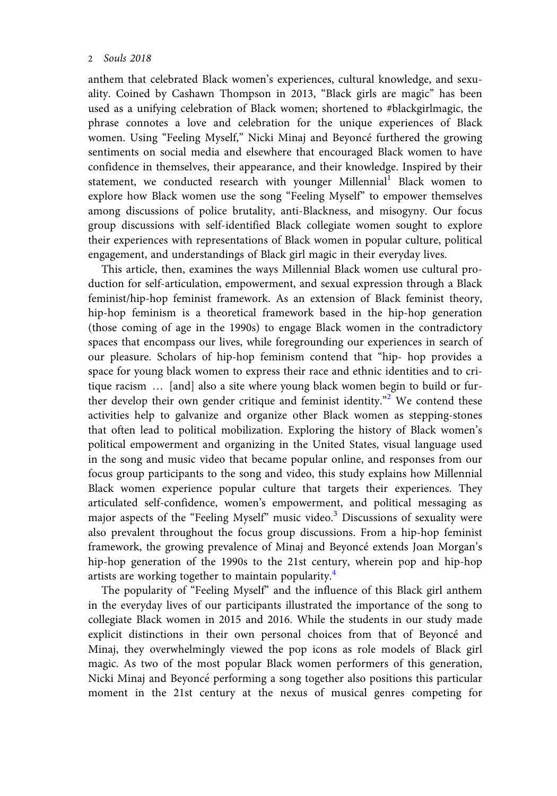anthem that celebrated Black women's experiences, cultural knowledge, and sexuality. Coined by Cashawn Thompson in 2013, "Black girls are magic" has been used as a unifying celebration of Black women; shortened to #blackgirlmagic, the phrase connotes a love and celebration for the unique experiences of Black women. Using "Feeling Myself," Nicki Minaj and Beyonce furthered the growing sentiments on social media and elsewhere that encouraged Black women to have confidence in themselves, their appearance, and their knowledge. Inspired by their statement, we conducted research with younger Millennial<sup>1</sup> Black women to explore how Black women use the song "Feeling Myself" to empower themselves among discussions of police brutality, anti-Blackness, and misogyny. Our focus group discussions with self-identified Black collegiate women sought to explore their experiences with representations of Black women in popular culture, political engagement, and understandings of Black girl magic in their everyday lives.

This article, then, examines the ways Millennial Black women use cultural production for self-articulation, empowerment, and sexual expression through a Black feminist/hip-hop feminist framework. As an extension of Black feminist theory, hip-hop feminism is a theoretical framework based in the hip-hop generation (those coming of age in the 1990s) to engage Black women in the contradictory spaces that encompass our lives, while foregrounding our experiences in search of our pleasure. Scholars of hip-hop feminism contend that "hip- hop provides a space for young black women to express their race and ethnic identities and to critique racism … [and] also a site where young black women begin to build or fur-ther develop their own gender critique and feminist identity."<sup>[2](#page-13-0)</sup> We contend these activities help to galvanize and organize other Black women as stepping-stones that often lead to political mobilization. Exploring the history of Black women's political empowerment and organizing in the United States, visual language used in the song and music video that became popular online, and responses from our focus group participants to the song and video, this study explains how Millennial Black women experience popular culture that targets their experiences. They articulated self-confidence, women's empowerment, and political messaging as major aspects of the "Feeling Myself" music video.<sup>[3](#page-13-0)</sup> Discussions of sexuality were also prevalent throughout the focus group discussions. From a hip-hop feminist framework, the growing prevalence of Minaj and Beyonce extends Joan Morgan's hip-hop generation of the 1990s to the 21st century, wherein pop and hip-hop artists are working together to maintain popularity[.4](#page-13-0)

The popularity of "Feeling Myself" and the influence of this Black girl anthem in the everyday lives of our participants illustrated the importance of the song to collegiate Black women in 2015 and 2016. While the students in our study made explicit distinctions in their own personal choices from that of Beyonce and Minaj, they overwhelmingly viewed the pop icons as role models of Black girl magic. As two of the most popular Black women performers of this generation, Nicki Minaj and Beyonce performing a song together also positions this particular moment in the 21st century at the nexus of musical genres competing for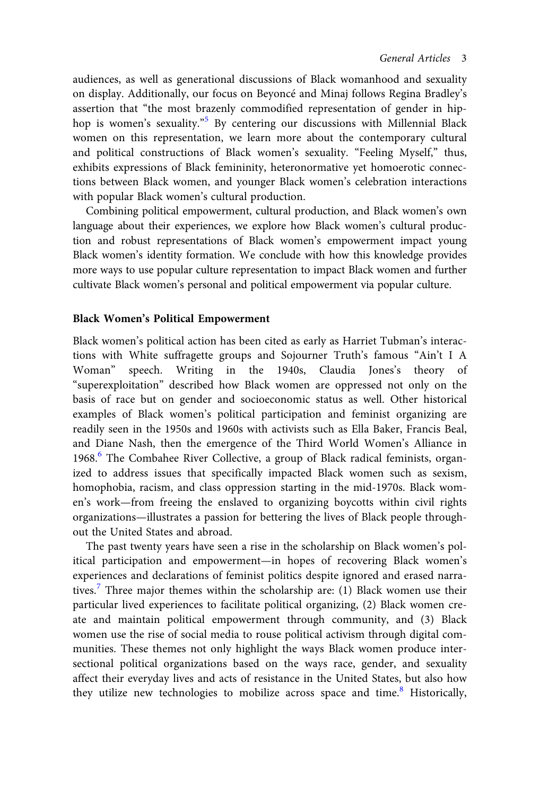audiences, as well as generational discussions of Black womanhood and sexuality on display. Additionally, our focus on Beyonce and Minaj follows Regina Bradley's assertion that "the most brazenly commodified representation of gender in hiphop is women's sexuality." [5](#page-13-0) By centering our discussions with Millennial Black women on this representation, we learn more about the contemporary cultural and political constructions of Black women's sexuality. "Feeling Myself," thus, exhibits expressions of Black femininity, heteronormative yet homoerotic connections between Black women, and younger Black women's celebration interactions with popular Black women's cultural production.

Combining political empowerment, cultural production, and Black women's own language about their experiences, we explore how Black women's cultural production and robust representations of Black women's empowerment impact young Black women's identity formation. We conclude with how this knowledge provides more ways to use popular culture representation to impact Black women and further cultivate Black women's personal and political empowerment via popular culture.

### Black Women's Political Empowerment

Black women's political action has been cited as early as Harriet Tubman's interactions with White suffragette groups and Sojourner Truth's famous "Ain't I A Woman" speech. Writing in the 1940s, Claudia Jones's theory of "superexploitation" described how Black women are oppressed not only on the basis of race but on gender and socioeconomic status as well. Other historical examples of Black women's political participation and feminist organizing are readily seen in the 1950s and 1960s with activists such as Ella Baker, Francis Beal, and Diane Nash, then the emergence of the Third World Women's Alliance in 19[6](#page-13-0)8. $6$  The Combahee River Collective, a group of Black radical feminists, organized to address issues that specifically impacted Black women such as sexism, homophobia, racism, and class oppression starting in the mid-1970s. Black women's work—from freeing the enslaved to organizing boycotts within civil rights organizations—illustrates a passion for bettering the lives of Black people throughout the United States and abroad.

The past twenty years have seen a rise in the scholarship on Black women's political participation and empowerment—in hopes of recovering Black women's experiences and declarations of feminist politics despite ignored and erased narra-tives.<sup>[7](#page-13-0)</sup> Three major themes within the scholarship are: (1) Black women use their particular lived experiences to facilitate political organizing, (2) Black women create and maintain political empowerment through community, and (3) Black women use the rise of social media to rouse political activism through digital communities. These themes not only highlight the ways Black women produce intersectional political organizations based on the ways race, gender, and sexuality affect their everyday lives and acts of resistance in the United States, but also how they utilize new technologies to mobilize across space and time.<sup>8</sup> Historically,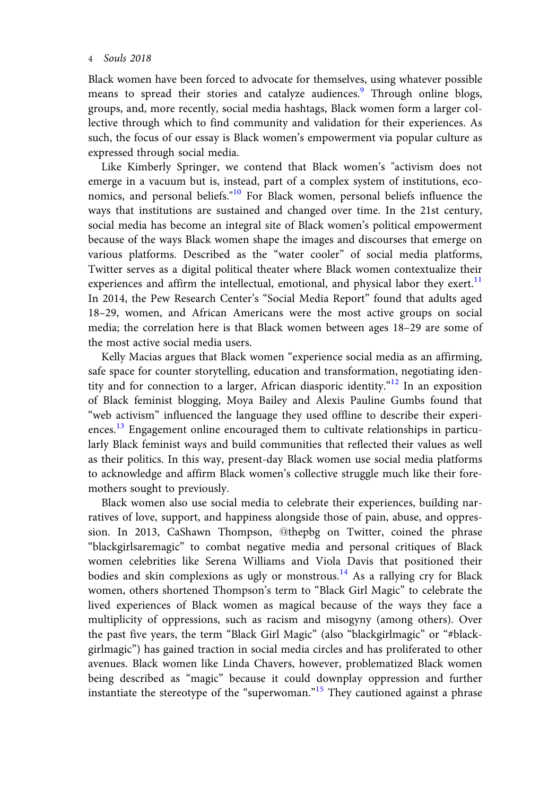Black women have been forced to advocate for themselves, using whatever possible means to spread their stories and catalyze audiences.<sup>[9](#page-14-0)</sup> Through online blogs, groups, and, more recently, social media hashtags, Black women form a larger collective through which to find community and validation for their experiences. As such, the focus of our essay is Black women's empowerment via popular culture as expressed through social media.

Like Kimberly Springer, we contend that Black women's "activism does not emerge in a vacuum but is, instead, part of a complex system of institutions, eco-nomics, and personal beliefs."<sup>[10](#page-14-0)</sup> For Black women, personal beliefs influence the ways that institutions are sustained and changed over time. In the 21st century, social media has become an integral site of Black women's political empowerment because of the ways Black women shape the images and discourses that emerge on various platforms. Described as the "water cooler" of social media platforms, Twitter serves as a digital political theater where Black women contextualize their experiences and affirm the intellectual, emotional, and physical labor they exert.<sup>[11](#page-14-0)</sup> In 2014, the Pew Research Center's "Social Media Report" found that adults aged 18–29, women, and African Americans were the most active groups on social media; the correlation here is that Black women between ages 18–29 are some of the most active social media users.

Kelly Macias argues that Black women "experience social media as an affirming, safe space for counter storytelling, education and transformation, negotiating iden-tity and for connection to a larger, African diasporic identity."<sup>[12](#page-14-0)</sup> In an exposition of Black feminist blogging, Moya Bailey and Alexis Pauline Gumbs found that "web activism" influenced the language they used offline to describe their experiences.<sup>13</sup> Engagement online encouraged them to cultivate relationships in particularly Black feminist ways and build communities that reflected their values as well as their politics. In this way, present-day Black women use social media platforms to acknowledge and affirm Black women's collective struggle much like their foremothers sought to previously.

Black women also use social media to celebrate their experiences, building narratives of love, support, and happiness alongside those of pain, abuse, and oppression. In 2013, CaShawn Thompson, @thepbg on Twitter, coined the phrase "blackgirlsaremagic" to combat negative media and personal critiques of Black women celebrities like Serena Williams and Viola Davis that positioned their bodies and skin complexions as ugly or monstrous.<sup>[14](#page-14-0)</sup> As a rallying cry for Black women, others shortened Thompson's term to "Black Girl Magic" to celebrate the lived experiences of Black women as magical because of the ways they face a multiplicity of oppressions, such as racism and misogyny (among others). Over the past five years, the term "Black Girl Magic" (also "blackgirlmagic" or "#blackgirlmagic") has gained traction in social media circles and has proliferated to other avenues. Black women like Linda Chavers, however, problematized Black women being described as "magic" because it could downplay oppression and further instantiate the stereotype of the "superwoman."<sup>[15](#page-14-0)</sup> They cautioned against a phrase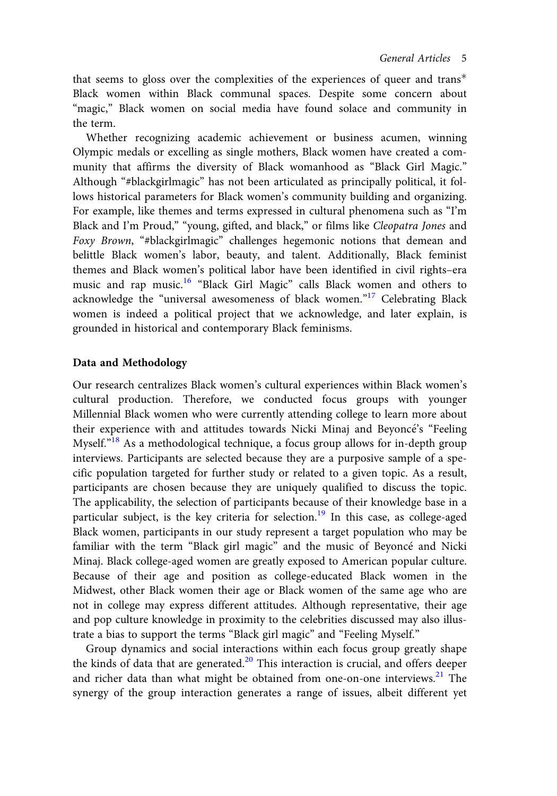that seems to gloss over the complexities of the experiences of queer and trans Black women within Black communal spaces. Despite some concern about "magic," Black women on social media have found solace and community in the term.

Whether recognizing academic achievement or business acumen, winning Olympic medals or excelling as single mothers, Black women have created a community that affirms the diversity of Black womanhood as "Black Girl Magic." Although "#blackgirlmagic" has not been articulated as principally political, it follows historical parameters for Black women's community building and organizing. For example, like themes and terms expressed in cultural phenomena such as "I'm Black and I'm Proud," "young, gifted, and black," or films like Cleopatra Jones and Foxy Brown, "#blackgirlmagic" challenges hegemonic notions that demean and belittle Black women's labor, beauty, and talent. Additionally, Black feminist themes and Black women's political labor have been identified in civil rights–era music and rap music.[16](#page-14-0) "Black Girl Magic" calls Black women and others to acknowledge the "universal awesomeness of black women."<sup>[17](#page-14-0)</sup> Celebrating Black women is indeed a political project that we acknowledge, and later explain, is grounded in historical and contemporary Black feminisms.

## Data and Methodology

Our research centralizes Black women's cultural experiences within Black women's cultural production. Therefore, we conducted focus groups with younger Millennial Black women who were currently attending college to learn more about their experience with and attitudes towards Nicki Minaj and Beyoncé's "Feeling Myself."<sup>[18](#page-15-0)</sup> As a methodological technique, a focus group allows for in-depth group interviews. Participants are selected because they are a purposive sample of a specific population targeted for further study or related to a given topic. As a result, participants are chosen because they are uniquely qualified to discuss the topic. The applicability, the selection of participants because of their knowledge base in a particular subject, is the key criteria for selection.<sup>[19](#page-15-0)</sup> In this case, as college-aged Black women, participants in our study represent a target population who may be familiar with the term "Black girl magic" and the music of Beyoncé and Nicki Minaj. Black college-aged women are greatly exposed to American popular culture. Because of their age and position as college-educated Black women in the Midwest, other Black women their age or Black women of the same age who are not in college may express different attitudes. Although representative, their age and pop culture knowledge in proximity to the celebrities discussed may also illustrate a bias to support the terms "Black girl magic" and "Feeling Myself."

Group dynamics and social interactions within each focus group greatly shape the kinds of data that are generated.<sup>[20](#page-15-0)</sup> This interaction is crucial, and offers deeper and richer data than what might be obtained from one-on-one interviews.<sup>21</sup> The synergy of the group interaction generates a range of issues, albeit different yet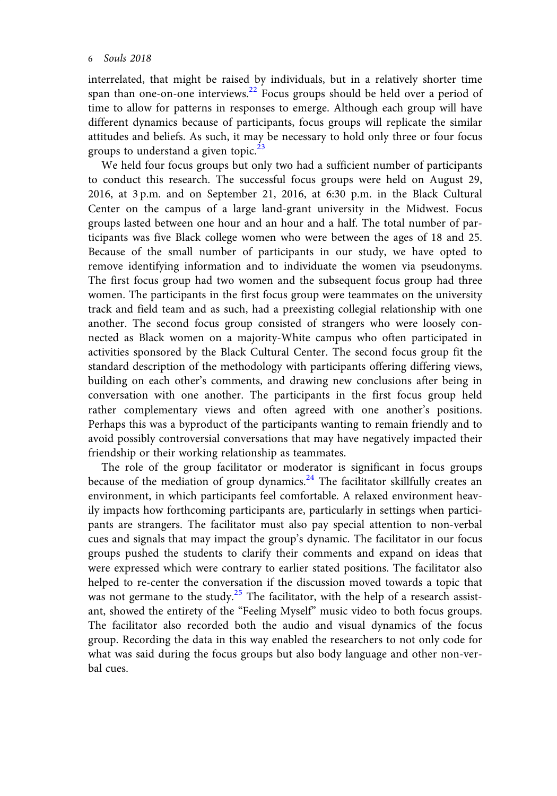interrelated, that might be raised by individuals, but in a relatively shorter time span than one-on-one interviews.<sup>22</sup> Focus groups should be held over a period of time to allow for patterns in responses to emerge. Although each group will have different dynamics because of participants, focus groups will replicate the similar attitudes and beliefs. As such, it may be necessary to hold only three or four focus groups to understand a given topic. $^{23}$ 

We held four focus groups but only two had a sufficient number of participants to conduct this research. The successful focus groups were held on August 29, 2016, at 3 p.m. and on September 21, 2016, at 6:30 p.m. in the Black Cultural Center on the campus of a large land-grant university in the Midwest. Focus groups lasted between one hour and an hour and a half. The total number of participants was five Black college women who were between the ages of 18 and 25. Because of the small number of participants in our study, we have opted to remove identifying information and to individuate the women via pseudonyms. The first focus group had two women and the subsequent focus group had three women. The participants in the first focus group were teammates on the university track and field team and as such, had a preexisting collegial relationship with one another. The second focus group consisted of strangers who were loosely connected as Black women on a majority-White campus who often participated in activities sponsored by the Black Cultural Center. The second focus group fit the standard description of the methodology with participants offering differing views, building on each other's comments, and drawing new conclusions after being in conversation with one another. The participants in the first focus group held rather complementary views and often agreed with one another's positions. Perhaps this was a byproduct of the participants wanting to remain friendly and to avoid possibly controversial conversations that may have negatively impacted their friendship or their working relationship as teammates.

The role of the group facilitator or moderator is significant in focus groups because of the mediation of group dynamics.<sup>[24](#page-15-0)</sup> The facilitator skillfully creates an environment, in which participants feel comfortable. A relaxed environment heavily impacts how forthcoming participants are, particularly in settings when participants are strangers. The facilitator must also pay special attention to non-verbal cues and signals that may impact the group's dynamic. The facilitator in our focus groups pushed the students to clarify their comments and expand on ideas that were expressed which were contrary to earlier stated positions. The facilitator also helped to re-center the conversation if the discussion moved towards a topic that was not germane to the study. $25$  The facilitator, with the help of a research assistant, showed the entirety of the "Feeling Myself" music video to both focus groups. The facilitator also recorded both the audio and visual dynamics of the focus group. Recording the data in this way enabled the researchers to not only code for what was said during the focus groups but also body language and other non-verbal cues.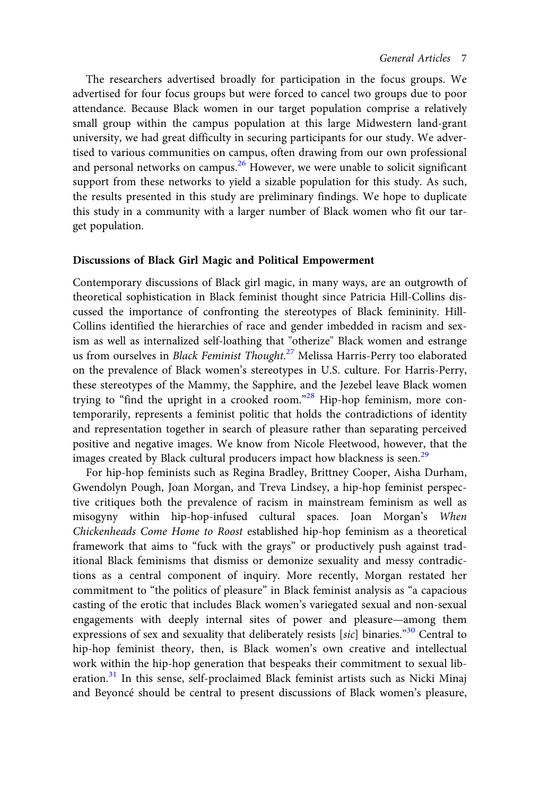The researchers advertised broadly for participation in the focus groups. We advertised for four focus groups but were forced to cancel two groups due to poor attendance. Because Black women in our target population comprise a relatively small group within the campus population at this large Midwestern land-grant university, we had great difficulty in securing participants for our study. We advertised to various communities on campus, often drawing from our own professional and personal networks on campus.<sup>[26](#page-15-0)</sup> However, we were unable to solicit significant support from these networks to yield a sizable population for this study. As such, the results presented in this study are preliminary findings. We hope to duplicate this study in a community with a larger number of Black women who fit our target population.

#### Discussions of Black Girl Magic and Political Empowerment

Contemporary discussions of Black girl magic, in many ways, are an outgrowth of theoretical sophistication in Black feminist thought since Patricia Hill-Collins discussed the importance of confronting the stereotypes of Black femininity. Hill-Collins identified the hierarchies of race and gender imbedded in racism and sexism as well as internalized self-loathing that "otherize" Black women and estrange us from ourselves in *Black Feminist Thought.<sup>[27](#page-15-0)</sup> M*elissa Harris-Perry too elaborated on the prevalence of Black women's stereotypes in U.S. culture. For Harris-Perry, these stereotypes of the Mammy, the Sapphire, and the Jezebel leave Black women trying to "find the upright in a crooked room."<sup>[28](#page-15-0)</sup> Hip-hop feminism, more contemporarily, represents a feminist politic that holds the contradictions of identity and representation together in search of pleasure rather than separating perceived positive and negative images. We know from Nicole Fleetwood, however, that the images created by Black cultural producers impact how blackness is seen.<sup>[29](#page-15-0)</sup>

For hip-hop feminists such as Regina Bradley, Brittney Cooper, Aisha Durham, Gwendolyn Pough, Joan Morgan, and Treva Lindsey, a hip-hop feminist perspective critiques both the prevalence of racism in mainstream feminism as well as misogyny within hip-hop-infused cultural spaces. Joan Morgan's When Chickenheads Come Home to Roost established hip-hop feminism as a theoretical framework that aims to "fuck with the grays" or productively push against traditional Black feminisms that dismiss or demonize sexuality and messy contradictions as a central component of inquiry. More recently, Morgan restated her commitment to "the politics of pleasure" in Black feminist analysis as "a capacious casting of the erotic that includes Black women's variegated sexual and non-sexual engagements with deeply internal sites of power and pleasure—among them expressions of sex and sexuality that deliberately resists [sic] binaries."<sup>[30](#page-15-0)</sup> Central to hip-hop feminist theory, then, is Black women's own creative and intellectual work within the hip-hop generation that bespeaks their commitment to sexual lib-eration.<sup>[31](#page-15-0)</sup> In this sense, self-proclaimed Black feminist artists such as Nicki Minaj and Beyoncé should be central to present discussions of Black women's pleasure,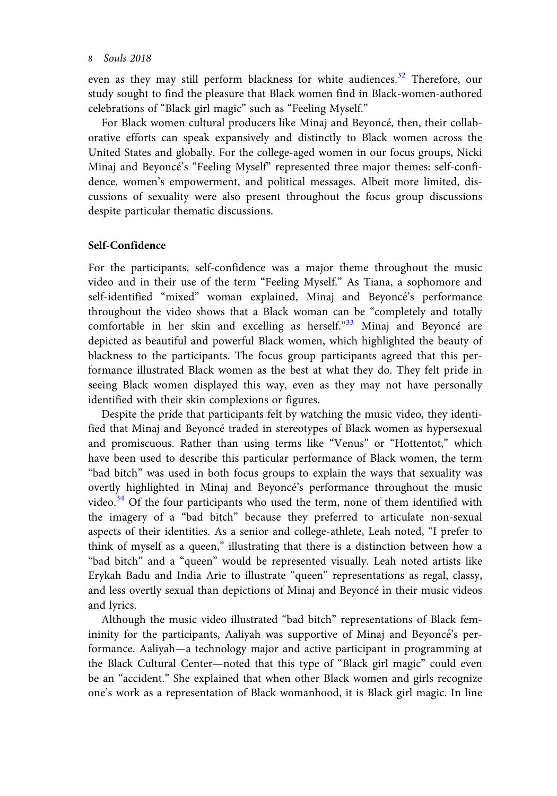even as they may still perform blackness for white audiences.<sup>32</sup> Therefore, our study sought to find the pleasure that Black women find in Black-women-authored celebrations of "Black girl magic" such as "Feeling Myself."

For Black women cultural producers like Minaj and Beyoncé, then, their collaborative efforts can speak expansively and distinctly to Black women across the United States and globally. For the college-aged women in our focus groups, Nicki Minaj and Beyonce's "Feeling Myself" represented three major themes: self-confidence, women's empowerment, and political messages. Albeit more limited, discussions of sexuality were also present throughout the focus group discussions despite particular thematic discussions.

#### Self-Confidence

For the participants, self-confidence was a major theme throughout the music video and in their use of the term "Feeling Myself." As Tiana, a sophomore and self-identified "mixed" woman explained, Minaj and Beyonce's performance throughout the video shows that a Black woman can be "completely and totally comfortable in her skin and excelling as herself."<sup>[33](#page-15-0)</sup> Minaj and Beyoncé are depicted as beautiful and powerful Black women, which highlighted the beauty of blackness to the participants. The focus group participants agreed that this performance illustrated Black women as the best at what they do. They felt pride in seeing Black women displayed this way, even as they may not have personally identified with their skin complexions or figures.

Despite the pride that participants felt by watching the music video, they identified that Minaj and Beyoncé traded in stereotypes of Black women as hypersexual and promiscuous. Rather than using terms like "Venus" or "Hottentot," which have been used to describe this particular performance of Black women, the term "bad bitch" was used in both focus groups to explain the ways that sexuality was overtly highlighted in Minaj and Beyoncé's performance throughout the music video.<sup>34</sup> Of the four participants who used the term, none of them identified with the imagery of a "bad bitch" because they preferred to articulate non-sexual aspects of their identities. As a senior and college-athlete, Leah noted, "I prefer to think of myself as a queen," illustrating that there is a distinction between how a "bad bitch" and a "queen" would be represented visually. Leah noted artists like Erykah Badu and India Arie to illustrate "queen" representations as regal, classy, and less overtly sexual than depictions of Minaj and Beyoncé in their music videos and lyrics.

Although the music video illustrated "bad bitch" representations of Black femininity for the participants, Aaliyah was supportive of Minaj and Beyoncé's performance. Aaliyah—a technology major and active participant in programming at the Black Cultural Center—noted that this type of "Black girl magic" could even be an "accident." She explained that when other Black women and girls recognize one's work as a representation of Black womanhood, it is Black girl magic. In line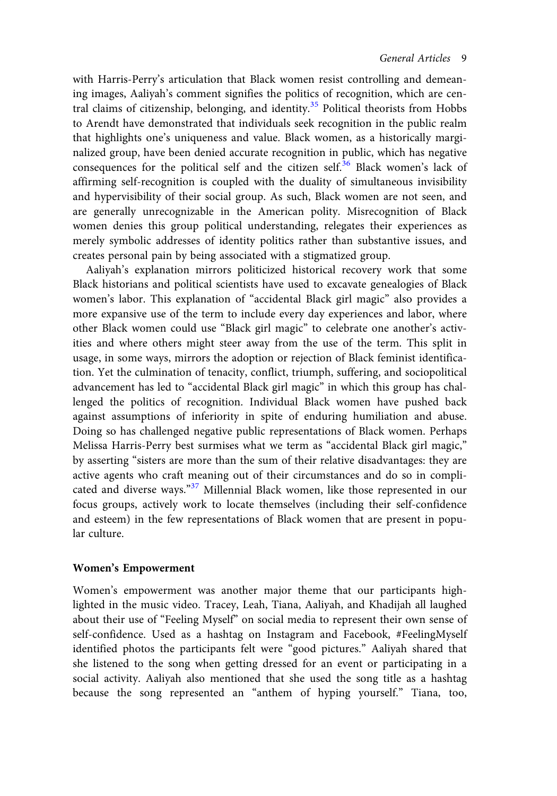with Harris-Perry's articulation that Black women resist controlling and demeaning images, Aaliyah's comment signifies the politics of recognition, which are cen-tral claims of citizenship, belonging, and identity.<sup>[35](#page-15-0)</sup> Political theorists from Hobbs to Arendt have demonstrated that individuals seek recognition in the public realm that highlights one's uniqueness and value. Black women, as a historically marginalized group, have been denied accurate recognition in public, which has negative consequences for the political self and the citizen self.<sup>[36](#page-15-0)</sup> Black women's lack of affirming self-recognition is coupled with the duality of simultaneous invisibility and hypervisibility of their social group. As such, Black women are not seen, and are generally unrecognizable in the American polity. Misrecognition of Black women denies this group political understanding, relegates their experiences as merely symbolic addresses of identity politics rather than substantive issues, and creates personal pain by being associated with a stigmatized group.

Aaliyah's explanation mirrors politicized historical recovery work that some Black historians and political scientists have used to excavate genealogies of Black women's labor. This explanation of "accidental Black girl magic" also provides a more expansive use of the term to include every day experiences and labor, where other Black women could use "Black girl magic" to celebrate one another's activities and where others might steer away from the use of the term. This split in usage, in some ways, mirrors the adoption or rejection of Black feminist identification. Yet the culmination of tenacity, conflict, triumph, suffering, and sociopolitical advancement has led to "accidental Black girl magic" in which this group has challenged the politics of recognition. Individual Black women have pushed back against assumptions of inferiority in spite of enduring humiliation and abuse. Doing so has challenged negative public representations of Black women. Perhaps Melissa Harris-Perry best surmises what we term as "accidental Black girl magic," by asserting "sisters are more than the sum of their relative disadvantages: they are active agents who craft meaning out of their circumstances and do so in compli-cated and diverse ways."<sup>[37](#page-15-0)</sup> Millennial Black women, like those represented in our focus groups, actively work to locate themselves (including their self-confidence and esteem) in the few representations of Black women that are present in popular culture.

#### Women's Empowerment

Women's empowerment was another major theme that our participants highlighted in the music video. Tracey, Leah, Tiana, Aaliyah, and Khadijah all laughed about their use of "Feeling Myself" on social media to represent their own sense of self-confidence. Used as a hashtag on Instagram and Facebook, #FeelingMyself identified photos the participants felt were "good pictures." Aaliyah shared that she listened to the song when getting dressed for an event or participating in a social activity. Aaliyah also mentioned that she used the song title as a hashtag because the song represented an "anthem of hyping yourself." Tiana, too,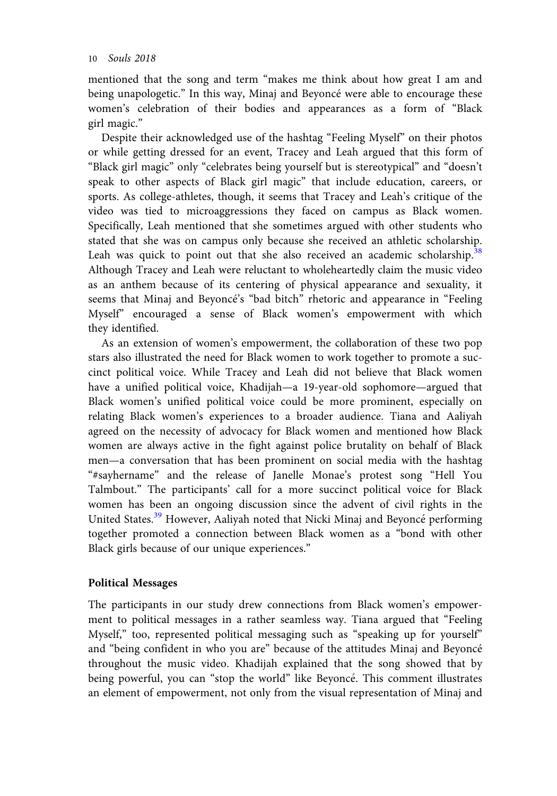mentioned that the song and term "makes me think about how great I am and being unapologetic." In this way, Minaj and Beyoncé were able to encourage these women's celebration of their bodies and appearances as a form of "Black girl magic."

Despite their acknowledged use of the hashtag "Feeling Myself" on their photos or while getting dressed for an event, Tracey and Leah argued that this form of "Black girl magic" only "celebrates being yourself but is stereotypical" and "doesn't speak to other aspects of Black girl magic" that include education, careers, or sports. As college-athletes, though, it seems that Tracey and Leah's critique of the video was tied to microaggressions they faced on campus as Black women. Specifically, Leah mentioned that she sometimes argued with other students who stated that she was on campus only because she received an athletic scholarship. Leah was quick to point out that she also received an academic scholarship.<sup>[38](#page-15-0)</sup> Although Tracey and Leah were reluctant to wholeheartedly claim the music video as an anthem because of its centering of physical appearance and sexuality, it seems that Minaj and Beyonce's "bad bitch" rhetoric and appearance in "Feeling Myself" encouraged a sense of Black women's empowerment with which they identified.

As an extension of women's empowerment, the collaboration of these two pop stars also illustrated the need for Black women to work together to promote a succinct political voice. While Tracey and Leah did not believe that Black women have a unified political voice, Khadijah—a 19-year-old sophomore—argued that Black women's unified political voice could be more prominent, especially on relating Black women's experiences to a broader audience. Tiana and Aaliyah agreed on the necessity of advocacy for Black women and mentioned how Black women are always active in the fight against police brutality on behalf of Black men—a conversation that has been prominent on social media with the hashtag "#sayhername" and the release of Janelle Monae's protest song "Hell You Talmbout." The participants' call for a more succinct political voice for Black women has been an ongoing discussion since the advent of civil rights in the United States.<sup>39</sup> However, Aaliyah noted that Nicki Minaj and Beyoncé performing together promoted a connection between Black women as a "bond with other Black girls because of our unique experiences."

## Political Messages

The participants in our study drew connections from Black women's empowerment to political messages in a rather seamless way. Tiana argued that "Feeling Myself," too, represented political messaging such as "speaking up for yourself" and "being confident in who you are" because of the attitudes Minaj and Beyonce throughout the music video. Khadijah explained that the song showed that by being powerful, you can "stop the world" like Beyonce. This comment illustrates an element of empowerment, not only from the visual representation of Minaj and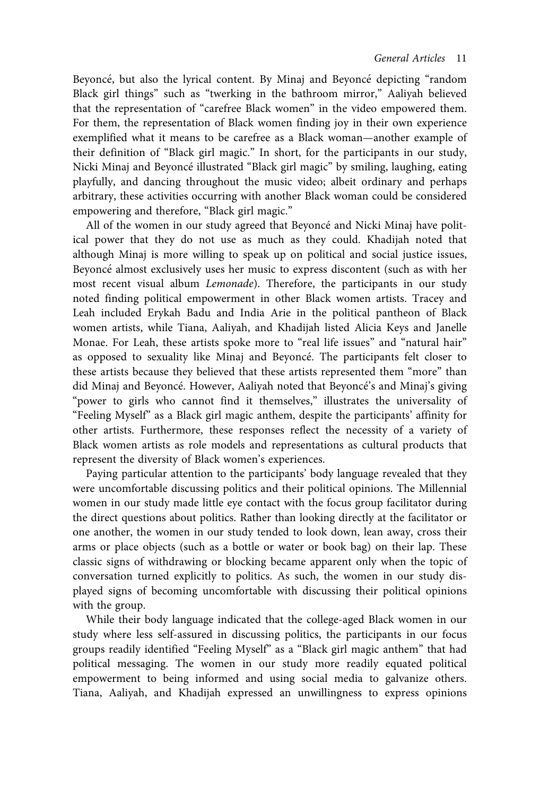Beyoncé, but also the lyrical content. By Minaj and Beyoncé depicting "random Black girl things" such as "twerking in the bathroom mirror," Aaliyah believed that the representation of "carefree Black women" in the video empowered them. For them, the representation of Black women finding joy in their own experience exemplified what it means to be carefree as a Black woman—another example of their definition of "Black girl magic." In short, for the participants in our study, Nicki Minaj and Beyonce illustrated "Black girl magic" by smiling, laughing, eating playfully, and dancing throughout the music video; albeit ordinary and perhaps arbitrary, these activities occurring with another Black woman could be considered empowering and therefore, "Black girl magic."

All of the women in our study agreed that Beyoncé and Nicki Minaj have political power that they do not use as much as they could. Khadijah noted that although Minaj is more willing to speak up on political and social justice issues, Beyoncé almost exclusively uses her music to express discontent (such as with her most recent visual album Lemonade). Therefore, the participants in our study noted finding political empowerment in other Black women artists. Tracey and Leah included Erykah Badu and India Arie in the political pantheon of Black women artists, while Tiana, Aaliyah, and Khadijah listed Alicia Keys and Janelle Monae. For Leah, these artists spoke more to "real life issues" and "natural hair" as opposed to sexuality like Minaj and Beyonce. The participants felt closer to these artists because they believed that these artists represented them "more" than did Minaj and Beyoncé. However, Aaliyah noted that Beyoncé's and Minaj's giving "power to girls who cannot find it themselves," illustrates the universality of "Feeling Myself" as a Black girl magic anthem, despite the participants' affinity for other artists. Furthermore, these responses reflect the necessity of a variety of Black women artists as role models and representations as cultural products that represent the diversity of Black women's experiences.

Paying particular attention to the participants' body language revealed that they were uncomfortable discussing politics and their political opinions. The Millennial women in our study made little eye contact with the focus group facilitator during the direct questions about politics. Rather than looking directly at the facilitator or one another, the women in our study tended to look down, lean away, cross their arms or place objects (such as a bottle or water or book bag) on their lap. These classic signs of withdrawing or blocking became apparent only when the topic of conversation turned explicitly to politics. As such, the women in our study displayed signs of becoming uncomfortable with discussing their political opinions with the group.

While their body language indicated that the college-aged Black women in our study where less self-assured in discussing politics, the participants in our focus groups readily identified "Feeling Myself" as a "Black girl magic anthem" that had political messaging. The women in our study more readily equated political empowerment to being informed and using social media to galvanize others. Tiana, Aaliyah, and Khadijah expressed an unwillingness to express opinions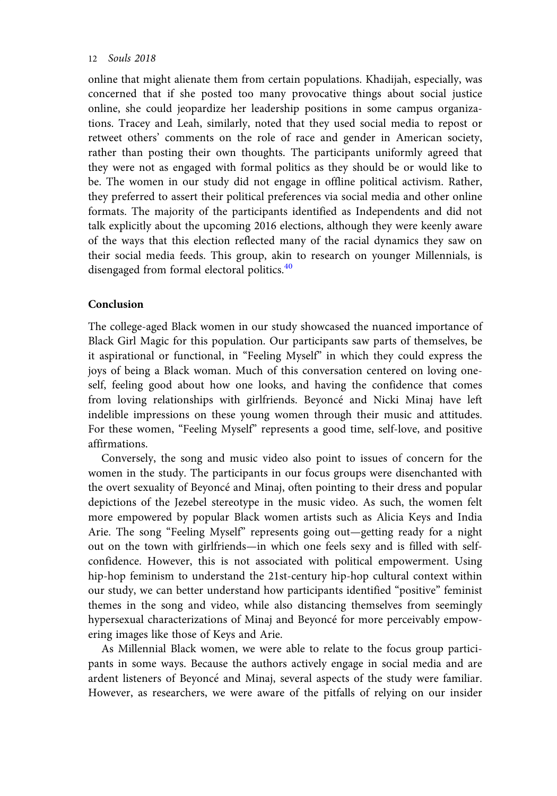online that might alienate them from certain populations. Khadijah, especially, was concerned that if she posted too many provocative things about social justice online, she could jeopardize her leadership positions in some campus organizations. Tracey and Leah, similarly, noted that they used social media to repost or retweet others' comments on the role of race and gender in American society, rather than posting their own thoughts. The participants uniformly agreed that they were not as engaged with formal politics as they should be or would like to be. The women in our study did not engage in offline political activism. Rather, they preferred to assert their political preferences via social media and other online formats. The majority of the participants identified as Independents and did not talk explicitly about the upcoming 2016 elections, although they were keenly aware of the ways that this election reflected many of the racial dynamics they saw on their social media feeds. This group, akin to research on younger Millennials, is disengaged from formal electoral politics.<sup>40</sup>

## Conclusion

The college-aged Black women in our study showcased the nuanced importance of Black Girl Magic for this population. Our participants saw parts of themselves, be it aspirational or functional, in "Feeling Myself" in which they could express the joys of being a Black woman. Much of this conversation centered on loving oneself, feeling good about how one looks, and having the confidence that comes from loving relationships with girlfriends. Beyoncé and Nicki Minaj have left indelible impressions on these young women through their music and attitudes. For these women, "Feeling Myself" represents a good time, self-love, and positive affirmations.

Conversely, the song and music video also point to issues of concern for the women in the study. The participants in our focus groups were disenchanted with the overt sexuality of Beyonce and Minaj, often pointing to their dress and popular depictions of the Jezebel stereotype in the music video. As such, the women felt more empowered by popular Black women artists such as Alicia Keys and India Arie. The song "Feeling Myself" represents going out—getting ready for a night out on the town with girlfriends—in which one feels sexy and is filled with selfconfidence. However, this is not associated with political empowerment. Using hip-hop feminism to understand the 21st-century hip-hop cultural context within our study, we can better understand how participants identified "positive" feminist themes in the song and video, while also distancing themselves from seemingly hypersexual characterizations of Minaj and Beyoncé for more perceivably empowering images like those of Keys and Arie.

As Millennial Black women, we were able to relate to the focus group participants in some ways. Because the authors actively engage in social media and are ardent listeners of Beyoncé and Minaj, several aspects of the study were familiar. However, as researchers, we were aware of the pitfalls of relying on our insider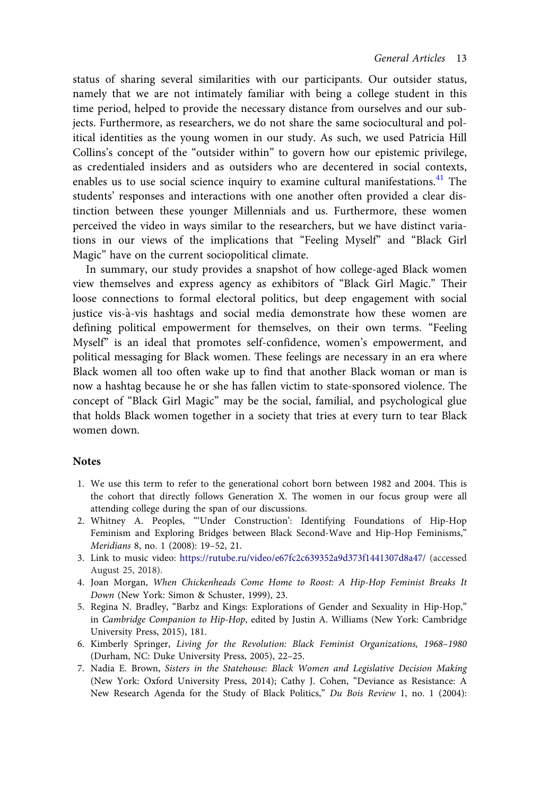<span id="page-13-0"></span>status of sharing several similarities with our participants. Our outsider status, namely that we are not intimately familiar with being a college student in this time period, helped to provide the necessary distance from ourselves and our subjects. Furthermore, as researchers, we do not share the same sociocultural and political identities as the young women in our study. As such, we used Patricia Hill Collins's concept of the "outsider within" to govern how our epistemic privilege, as credentialed insiders and as outsiders who are decentered in social contexts, enables us to use social science inquiry to examine cultural manifestations. $41$  The students' responses and interactions with one another often provided a clear distinction between these younger Millennials and us. Furthermore, these women perceived the video in ways similar to the researchers, but we have distinct variations in our views of the implications that "Feeling Myself" and "Black Girl Magic" have on the current sociopolitical climate.

In summary, our study provides a snapshot of how college-aged Black women view themselves and express agency as exhibitors of "Black Girl Magic." Their loose connections to formal electoral politics, but deep engagement with social justice vis-à-vis hashtags and social media demonstrate how these women are defining political empowerment for themselves, on their own terms. "Feeling Myself" is an ideal that promotes self-confidence, women's empowerment, and political messaging for Black women. These feelings are necessary in an era where Black women all too often wake up to find that another Black woman or man is now a hashtag because he or she has fallen victim to state-sponsored violence. The concept of "Black Girl Magic" may be the social, familial, and psychological glue that holds Black women together in a society that tries at every turn to tear Black women down.

#### Notes

- 1. We use this term to refer to the generational cohort born between 1982 and 2004. This is the cohort that directly follows Generation X. The women in our focus group were all attending college during the span of our discussions.
- 2. Whitney A. Peoples, "'Under Construction': Identifying Foundations of Hip-Hop Feminism and Exploring Bridges between Black Second-Wave and Hip-Hop Feminisms," Meridians 8, no. 1 (2008): 19–52, 21.
- 3. Link to music video: <https://rutube.ru/video/e67fc2c639352a9d373f1441307d8a47/> (accessed August 25, 2018).
- 4. Joan Morgan, When Chickenheads Come Home to Roost: A Hip-Hop Feminist Breaks It Down (New York: Simon & Schuster, 1999), 23.
- 5. Regina N. Bradley, "Barbz and Kings: Explorations of Gender and Sexuality in Hip-Hop," in Cambridge Companion to Hip-Hop, edited by Justin A. Williams (New York: Cambridge University Press, 2015), 181.
- 6. Kimberly Springer, Living for the Revolution: Black Feminist Organizations, 1968–1980 (Durham, NC: Duke University Press, 2005), 22–25.
- 7. Nadia E. Brown, Sisters in the Statehouse: Black Women and Legislative Decision Making (New York: Oxford University Press, 2014); Cathy J. Cohen, "Deviance as Resistance: A New Research Agenda for the Study of Black Politics," Du Bois Review 1, no. 1 (2004):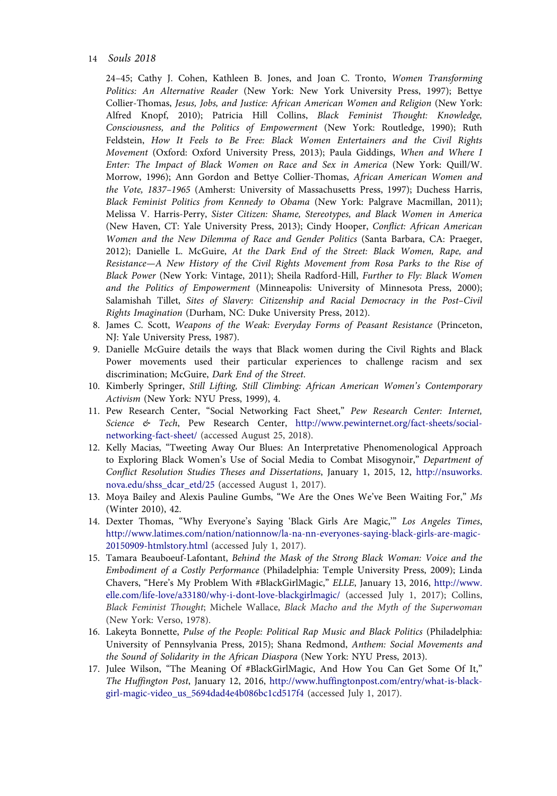#### <span id="page-14-0"></span>14 Souls 2018

24–45; Cathy J. Cohen, Kathleen B. Jones, and Joan C. Tronto, Women Transforming Politics: An Alternative Reader (New York: New York University Press, 1997); Bettye Collier-Thomas, Jesus, Jobs, and Justice: African American Women and Religion (New York: Alfred Knopf, 2010); Patricia Hill Collins, Black Feminist Thought: Knowledge, Consciousness, and the Politics of Empowerment (New York: Routledge, 1990); Ruth Feldstein, How It Feels to Be Free: Black Women Entertainers and the Civil Rights Movement (Oxford: Oxford University Press, 2013); Paula Giddings, When and Where I Enter: The Impact of Black Women on Race and Sex in America (New York: Quill/W. Morrow, 1996); Ann Gordon and Bettye Collier-Thomas, African American Women and the Vote, 1837–1965 (Amherst: University of Massachusetts Press, 1997); Duchess Harris, Black Feminist Politics from Kennedy to Obama (New York: Palgrave Macmillan, 2011); Melissa V. Harris-Perry, Sister Citizen: Shame, Stereotypes, and Black Women in America (New Haven, CT: Yale University Press, 2013); Cindy Hooper, Conflict: African American Women and the New Dilemma of Race and Gender Politics (Santa Barbara, CA: Praeger, 2012); Danielle L. McGuire, At the Dark End of the Street: Black Women, Rape, and Resistance—A New History of the Civil Rights Movement from Rosa Parks to the Rise of Black Power (New York: Vintage, 2011); Sheila Radford-Hill, Further to Fly: Black Women and the Politics of Empowerment (Minneapolis: University of Minnesota Press, 2000); Salamishah Tillet, Sites of Slavery: Citizenship and Racial Democracy in the Post–Civil Rights Imagination (Durham, NC: Duke University Press, 2012).

- 8. James C. Scott, Weapons of the Weak: Everyday Forms of Peasant Resistance (Princeton, NJ: Yale University Press, 1987).
- 9. Danielle McGuire details the ways that Black women during the Civil Rights and Black Power movements used their particular experiences to challenge racism and sex discrimination; McGuire, Dark End of the Street.
- 10. Kimberly Springer, Still Lifting, Still Climbing: African American Women's Contemporary Activism (New York: NYU Press, 1999), 4.
- 11. Pew Research Center, "Social Networking Fact Sheet," Pew Research Center: Internet, Science & Tech, Pew Research Center, [http://www.pewinternet.org/fact-sheets/social](http://www.pewinternet.org/fact-sheets/social-networking-fact-sheet/)[networking-fact-sheet/](http://www.pewinternet.org/fact-sheets/social-networking-fact-sheet/) (accessed August 25, 2018).
- 12. Kelly Macias, "Tweeting Away Our Blues: An Interpretative Phenomenological Approach to Exploring Black Women's Use of Social Media to Combat Misogynoir," Department of Conflict Resolution Studies Theses and Dissertations, January 1, 2015, 12, [http://nsuworks.](http://nsuworks.nova.edu/shss_dcar_etd/25) [nova.edu/shss\\_dcar\\_etd/25](http://nsuworks.nova.edu/shss_dcar_etd/25) (accessed August 1, 2017).
- 13. Moya Bailey and Alexis Pauline Gumbs, "We Are the Ones We've Been Waiting For," Ms (Winter 2010), 42.
- 14. Dexter Thomas, "Why Everyone's Saying 'Black Girls Are Magic,'" Los Angeles Times, [http://www.latimes.com/nation/nationnow/la-na-nn-everyones-saying-black-girls-are-magic-](http://www.latimes.com/nation/nationnow/la-na-nn-everyones-saying-black-girls-are-magic-20150909-htmlstory.html)[20150909-htmlstory.html](http://www.latimes.com/nation/nationnow/la-na-nn-everyones-saying-black-girls-are-magic-20150909-htmlstory.html) (accessed July 1, 2017).
- 15. Tamara Beauboeuf-Lafontant, Behind the Mask of the Strong Black Woman: Voice and the Embodiment of a Costly Performance (Philadelphia: Temple University Press, 2009); Linda Chavers, "Here's My Problem With #BlackGirlMagic," ELLE, January 13, 2016, [http://www.](http://www.elle.com/life-love/a33180/why-i-dont-love-blackgirlmagic/) [elle.com/life-love/a33180/why-i-dont-love-blackgirlmagic/](http://www.elle.com/life-love/a33180/why-i-dont-love-blackgirlmagic/) (accessed July 1, 2017); Collins, Black Feminist Thought; Michele Wallace, Black Macho and the Myth of the Superwoman (New York: Verso, 1978).
- 16. Lakeyta Bonnette, Pulse of the People: Political Rap Music and Black Politics (Philadelphia: University of Pennsylvania Press, 2015); Shana Redmond, Anthem: Social Movements and the Sound of Solidarity in the African Diaspora (New York: NYU Press, 2013).
- 17. Julee Wilson, "The Meaning Of #BlackGirlMagic, And How You Can Get Some Of It," The Huffington Post, January 12, 2016, [http://www.huffingtonpost.com/entry/what-is-black](http://www.huffingtonpost.com/entry/what-is-black-girl-magic-video_us_5694dad4e4b086bc1cd517f4)[girl-magic-video\\_us\\_5694dad4e4b086bc1cd517f4](http://www.huffingtonpost.com/entry/what-is-black-girl-magic-video_us_5694dad4e4b086bc1cd517f4) (accessed July 1, 2017).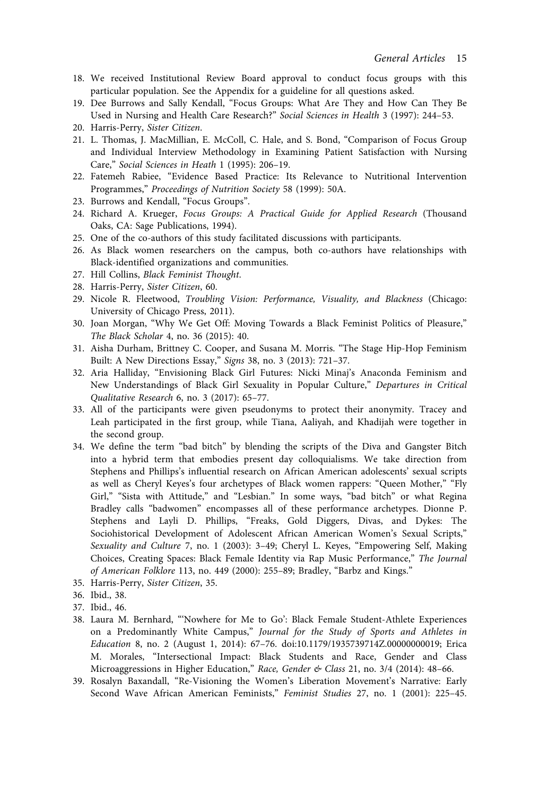- <span id="page-15-0"></span>18. We received Institutional Review Board approval to conduct focus groups with this particular population. See the Appendix for a guideline for all questions asked.
- 19. Dee Burrows and Sally Kendall, "Focus Groups: What Are They and How Can They Be Used in Nursing and Health Care Research?" Social Sciences in Health 3 (1997): 244–53.
- 20. Harris-Perry, Sister Citizen.
- 21. L. Thomas, J. MacMillian, E. McColl, C. Hale, and S. Bond, "Comparison of Focus Group and Individual Interview Methodology in Examining Patient Satisfaction with Nursing Care," Social Sciences in Heath 1 (1995): 206–19.
- 22. Fatemeh Rabiee, "Evidence Based Practice: Its Relevance to Nutritional Intervention Programmes," Proceedings of Nutrition Society 58 (1999): 50A.
- 23. Burrows and Kendall, "Focus Groups".
- 24. Richard A. Krueger, Focus Groups: A Practical Guide for Applied Research (Thousand Oaks, CA: Sage Publications, 1994).
- 25. One of the co-authors of this study facilitated discussions with participants.
- 26. As Black women researchers on the campus, both co-authors have relationships with Black-identified organizations and communities.
- 27. Hill Collins, Black Feminist Thought.
- 28. Harris-Perry, Sister Citizen, 60.
- 29. Nicole R. Fleetwood, Troubling Vision: Performance, Visuality, and Blackness (Chicago: University of Chicago Press, 2011).
- 30. Joan Morgan, "Why We Get Off: Moving Towards a Black Feminist Politics of Pleasure," The Black Scholar 4, no. 36 (2015): 40.
- 31. Aisha Durham, Brittney C. Cooper, and Susana M. Morris. "The Stage Hip-Hop Feminism Built: A New Directions Essay," Signs 38, no. 3 (2013): 721–37.
- 32. Aria Halliday, "Envisioning Black Girl Futures: Nicki Minaj's Anaconda Feminism and New Understandings of Black Girl Sexuality in Popular Culture," Departures in Critical Qualitative Research 6, no. 3 (2017): 65–77.
- 33. All of the participants were given pseudonyms to protect their anonymity. Tracey and Leah participated in the first group, while Tiana, Aaliyah, and Khadijah were together in the second group.
- 34. We define the term "bad bitch" by blending the scripts of the Diva and Gangster Bitch into a hybrid term that embodies present day colloquialisms. We take direction from Stephens and Phillips's influential research on African American adolescents' sexual scripts as well as Cheryl Keyes's four archetypes of Black women rappers: "Queen Mother," "Fly Girl," "Sista with Attitude," and "Lesbian." In some ways, "bad bitch" or what Regina Bradley calls "badwomen" encompasses all of these performance archetypes. Dionne P. Stephens and Layli D. Phillips, "Freaks, Gold Diggers, Divas, and Dykes: The Sociohistorical Development of Adolescent African American Women's Sexual Scripts," Sexuality and Culture 7, no. 1 (2003): 3–49; Cheryl L. Keyes, "Empowering Self, Making Choices, Creating Spaces: Black Female Identity via Rap Music Performance," The Journal of American Folklore 113, no. 449 (2000): 255–89; Bradley, "Barbz and Kings."
- 35. Harris-Perry, Sister Citizen, 35.
- 36. Ibid., 38.
- 37. Ibid., 46.
- 38. Laura M. Bernhard, "'Nowhere for Me to Go': Black Female Student-Athlete Experiences on a Predominantly White Campus," Journal for the Study of Sports and Athletes in Education 8, no. 2 (August 1, 2014): 67–76. doi:10.1179/1935739714Z.00000000019; Erica M. Morales, "Intersectional Impact: Black Students and Race, Gender and Class Microaggressions in Higher Education," Race, Gender & Class 21, no. 3/4 (2014): 48-66.
- 39. Rosalyn Baxandall, "Re-Visioning the Women's Liberation Movement's Narrative: Early Second Wave African American Feminists," Feminist Studies 27, no. 1 (2001): 225–45.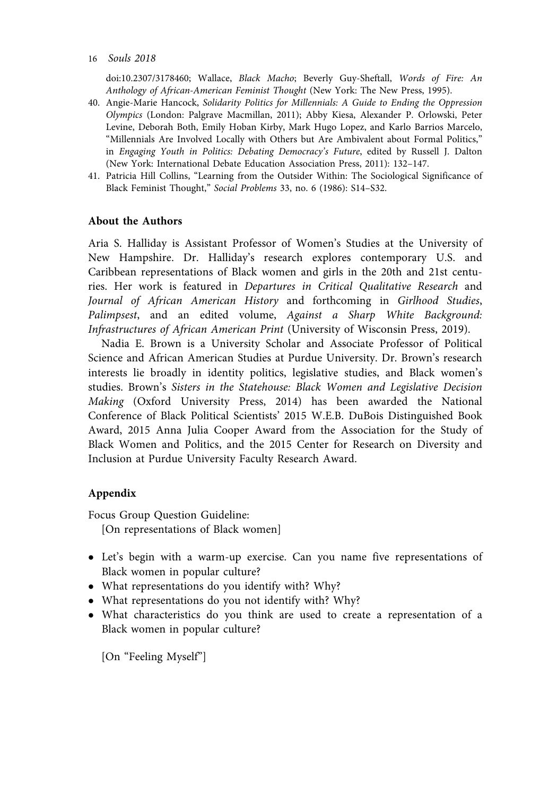#### <span id="page-16-0"></span>16 Souls 2018

doi:10.2307/3178460; Wallace, Black Macho; Beverly Guy-Sheftall, Words of Fire: An Anthology of African-American Feminist Thought (New York: The New Press, 1995).

- 40. Angie-Marie Hancock, Solidarity Politics for Millennials: A Guide to Ending the Oppression Olympics (London: Palgrave Macmillan, 2011); Abby Kiesa, Alexander P. Orlowski, Peter Levine, Deborah Both, Emily Hoban Kirby, Mark Hugo Lopez, and Karlo Barrios Marcelo, "Millennials Are Involved Locally with Others but Are Ambivalent about Formal Politics," in Engaging Youth in Politics: Debating Democracy's Future, edited by Russell J. Dalton (New York: International Debate Education Association Press, 2011): 132–147.
- 41. Patricia Hill Collins, "Learning from the Outsider Within: The Sociological Significance of Black Feminist Thought," Social Problems 33, no. 6 (1986): S14–S32.

#### About the Authors

Aria S. Halliday is Assistant Professor of Women's Studies at the University of New Hampshire. Dr. Halliday's research explores contemporary U.S. and Caribbean representations of Black women and girls in the 20th and 21st centuries. Her work is featured in Departures in Critical Qualitative Research and Journal of African American History and forthcoming in Girlhood Studies, Palimpsest, and an edited volume, Against a Sharp White Background: Infrastructures of African American Print (University of Wisconsin Press, 2019).

Nadia E. Brown is a University Scholar and Associate Professor of Political Science and African American Studies at Purdue University. Dr. Brown's research interests lie broadly in identity politics, legislative studies, and Black women's studies. Brown's Sisters in the Statehouse: Black Women and Legislative Decision Making (Oxford University Press, 2014) has been awarded the National Conference of Black Political Scientists' 2015 W.E.B. DuBois Distinguished Book Award, 2015 Anna Julia Cooper Award from the Association for the Study of Black Women and Politics, and the 2015 Center for Research on Diversity and Inclusion at Purdue University Faculty Research Award.

#### Appendix

Focus Group Question Guideline: [On representations of Black women]

- Let's begin with a warm-up exercise. Can you name five representations of Black women in popular culture?
- What representations do you identify with? Why?
- What representations do you not identify with? Why?
- What characteristics do you think are used to create a representation of a Black women in popular culture?

[On "Feeling Myself"]